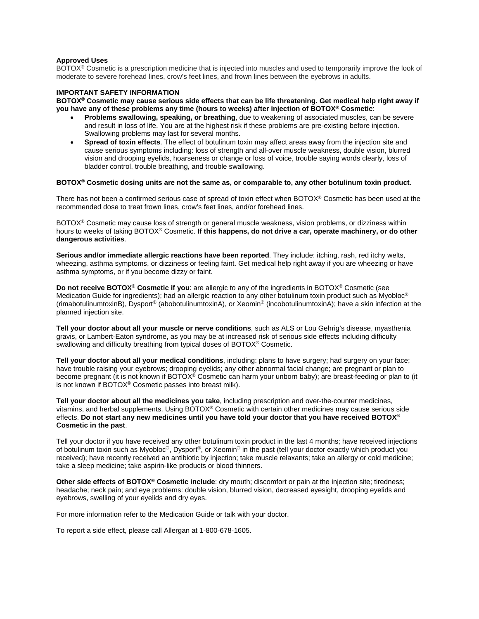## **Approved Uses**

BOTOX® Cosmetic is a prescription medicine that is injected into muscles and used to temporarily improve the look of moderate to severe forehead lines, crow's feet lines, and frown lines between the eyebrows in adults.

## **IMPORTANT SAFETY INFORMATION**

**BOTOX® Cosmetic may cause serious side effects that can be life threatening. Get medical help right away if you have any of these problems any time (hours to weeks) after injection of BOTOX® Cosmetic**:

- **Problems swallowing, speaking, or breathing**, due to weakening of associated muscles, can be severe and result in loss of life. You are at the highest risk if these problems are pre-existing before injection. Swallowing problems may last for several months.
- **Spread of toxin effects**. The effect of botulinum toxin may affect areas away from the injection site and cause serious symptoms including: loss of strength and all-over muscle weakness, double vision, blurred vision and drooping eyelids, hoarseness or change or loss of voice, trouble saying words clearly, loss of bladder control, trouble breathing, and trouble swallowing.

## **BOTOX® Cosmetic dosing units are not the same as, or comparable to, any other botulinum toxin product**.

There has not been a confirmed serious case of spread of toxin effect when BOTOX® Cosmetic has been used at the recommended dose to treat frown lines, crow's feet lines, and/or forehead lines.

BOTOX® Cosmetic may cause loss of strength or general muscle weakness, vision problems, or dizziness within hours to weeks of taking BOTOX® Cosmetic. **If this happens, do not drive a car, operate machinery, or do other dangerous activities**.

**Serious and/or immediate allergic reactions have been reported**. They include: itching, rash, red itchy welts, wheezing, asthma symptoms, or dizziness or feeling faint. Get medical help right away if you are wheezing or have asthma symptoms, or if you become dizzy or faint.

**Do not receive BOTOX® Cosmetic if you**: are allergic to any of the ingredients in BOTOX® Cosmetic (see Medication Guide for ingredients); had an allergic reaction to any other botulinum toxin product such as Myobloc<sup>®</sup> (rimabotulinumtoxinB), Dysport® (abobotulinumtoxinA), or Xeomin® (incobotulinumtoxinA); have a skin infection at the planned injection site.

**Tell your doctor about all your muscle or nerve conditions**, such as ALS or Lou Gehrig's disease, myasthenia gravis, or Lambert-Eaton syndrome, as you may be at increased risk of serious side effects including difficulty swallowing and difficulty breathing from typical doses of BOTOX® Cosmetic.

**Tell your doctor about all your medical conditions**, including: plans to have surgery; had surgery on your face; have trouble raising your eyebrows; drooping eyelids; any other abnormal facial change; are pregnant or plan to become pregnant (it is not known if BOTOX® Cosmetic can harm your unborn baby); are breast-feeding or plan to (it is not known if BOTOX® Cosmetic passes into breast milk).

**Tell your doctor about all the medicines you take**, including prescription and over-the-counter medicines, vitamins, and herbal supplements. Using BOTOX® Cosmetic with certain other medicines may cause serious side effects. **Do not start any new medicines until you have told your doctor that you have received BOTOX® Cosmetic in the past**.

Tell your doctor if you have received any other botulinum toxin product in the last 4 months; have received injections of botulinum toxin such as Myobloc®, Dysport®, or Xeomin® in the past (tell your doctor exactly which product you received); have recently received an antibiotic by injection; take muscle relaxants; take an allergy or cold medicine; take a sleep medicine; take aspirin-like products or blood thinners.

**Other side effects of BOTOX® Cosmetic include**: dry mouth; discomfort or pain at the injection site; tiredness; headache; neck pain; and eye problems: double vision, blurred vision, decreased eyesight, drooping eyelids and eyebrows, swelling of your eyelids and dry eyes.

For more information refer to the Medication Guide or talk with your doctor.

To report a side effect, please call Allergan at 1-800-678-1605.